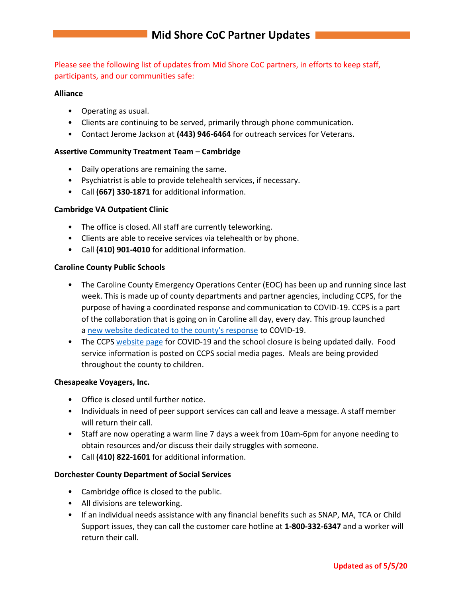Please see the following list of updates from Mid Shore CoC partners, in efforts to keep staff, participants, and our communities safe:

#### **Alliance**

- Operating as usual.
- Clients are continuing to be served, primarily through phone communication.
- Contact Jerome Jackson at **(443) 946-6464** for outreach services for Veterans.

## **Assertive Community Treatment Team – Cambridge**

- Daily operations are remaining the same.
- Psychiatrist is able to provide telehealth services, if necessary.
- Call **(667) 330-1871** for additional information.

## **Cambridge VA Outpatient Clinic**

- The office is closed. All staff are currently teleworking.
- Clients are able to receive services via telehealth or by phone.
- Call **(410) 901-4010** for additional information.

#### **Caroline County Public Schools**

- The Caroline County Emergency Operations Center (EOC) has been up and running since last week. This is made up of county departments and partner agencies, including CCPS, for the purpose of having a coordinated response and communication to COVID-19. CCPS is a part of the collaboration that is going on in Caroline all day, every day. This group launched a [new website dedicated to the county's response](https://linkprotect.cudasvc.com/url?a=https%3a%2f%2fwww.carolinecovid19.org%2f%3ffbclid%3dIwAR3YN8JzAqqU8RCwH7GmB6RniWQyoQDVBjzscaEPrWTxHPftuEAOhLvZvAI&c=E,1,afwgmFAjG_fBTakg6gd4wbggvSJ9R-eZWNSd2iY2lSorPsNRP00zBd2X6Cxn9G6QgWq4VyLBazmDixl5iuyEJuzjacJpH43f5Cyceh9S1D-I2eGjrsaoUlNgfg,,&typo=1) to COVID-19.
- The CCPS [website page](https://linkprotect.cudasvc.com/url?a=https%3a%2f%2fwww.carolineschools.org%2fabout-us%2fadministrative-services%2fschool-safety%2finformation-about-coronavirus-covid-19%2f&c=E,1,L2noOTMKC2wgqarRBZ4B-YBjZgjh-Z3Stghz_nS2wMOulMSFBqYaOCpWgkh4OrCLUDrCSsy3R3e8UGwcs5LoDSfioB0ljFIP2yG3bt5TL7_udA,,&typo=1) for COVID-19 and the school closure is being updated daily. Food service information is posted on CCPS social media pages. Meals are being provided throughout the county to children.

#### **Chesapeake Voyagers, Inc.**

- Office is closed until further notice.
- Individuals in need of peer support services can call and leave a message. A staff member will return their call.
- Staff are now operating a warm line 7 days a week from 10am-6pm for anyone needing to obtain resources and/or discuss their daily struggles with someone.
- Call **(410) 822-1601** for additional information.

#### **Dorchester County Department of Social Services**

- Cambridge office is closed to the public.
- All divisions are teleworking.
- If an individual needs assistance with any financial benefits such as SNAP, MA, TCA or Child Support issues, they can call the customer care hotline at **1-800-332-6347** and a worker will return their call.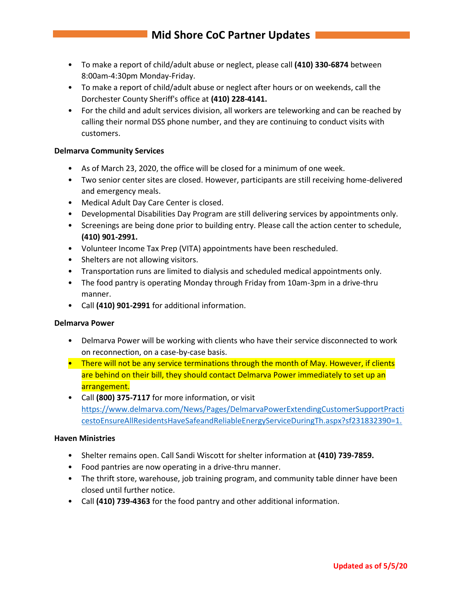# **Mid Shore CoC Partner Updates**

- To make a report of child/adult abuse or neglect, please call **(410) 330-6874** between 8:00am-4:30pm Monday-Friday.
- To make a report of child/adult abuse or neglect after hours or on weekends, call the Dorchester County Sheriff's office at **(410) 228-4141.**
- For the child and adult services division, all workers are teleworking and can be reached by calling their normal DSS phone number, and they are continuing to conduct visits with customers.

## **Delmarva Community Services**

- As of March 23, 2020, the office will be closed for a minimum of one week.
- Two senior center sites are closed. However, participants are still receiving home-delivered and emergency meals.
- Medical Adult Day Care Center is closed.
- Developmental Disabilities Day Program are still delivering services by appointments only.
- Screenings are being done prior to building entry. Please call the action center to schedule, **(410) 901-2991.**
- Volunteer Income Tax Prep (VITA) appointments have been rescheduled.
- Shelters are not allowing visitors.
- Transportation runs are limited to dialysis and scheduled medical appointments only.
- The food pantry is operating Monday through Friday from 10am-3pm in a drive-thru manner.
- Call **(410) 901-2991** for additional information.

#### **Delmarva Power**

- Delmarva Power will be working with clients who have their service disconnected to work on reconnection, on a case-by-case basis.
- There will not be any service terminations through the month of May. However, if clients are behind on their bill, they should contact Delmarva Power immediately to set up an arrangement.
- Call **(800) 375-7117** for more information, or visit [https://www.delmarva.com/News/Pages/DelmarvaPowerExtendingCustomerSupportPracti](https://www.delmarva.com/News/Pages/DelmarvaPowerExtendingCustomerSupportPracticestoEnsureAllResidentsHaveSafeandReliableEnergyServiceDuringTh.aspx?sf231832390=1.) [cestoEnsureAllResidentsHaveSafeandReliableEnergyServiceDuringTh.aspx?sf231832390=1.](https://www.delmarva.com/News/Pages/DelmarvaPowerExtendingCustomerSupportPracticestoEnsureAllResidentsHaveSafeandReliableEnergyServiceDuringTh.aspx?sf231832390=1.)

#### **Haven Ministries**

- Shelter remains open. Call Sandi Wiscott for shelter information at **(410) 739-7859.**
- Food pantries are now operating in a drive-thru manner.
- The thrift store, warehouse, job training program, and community table dinner have been closed until further notice.
- Call **(410) 739-4363** for the food pantry and other additional information.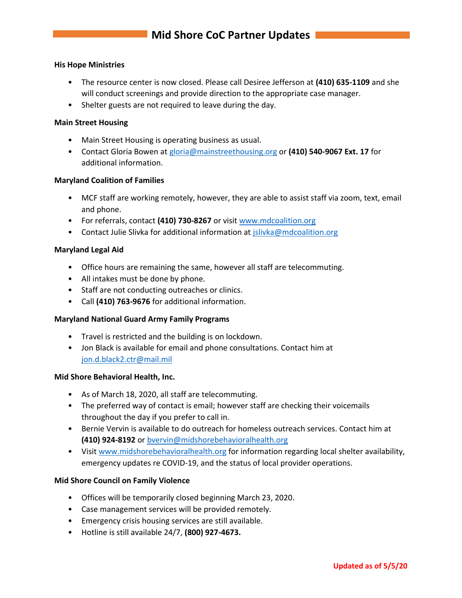#### **His Hope Ministries**

- The resource center is now closed. Please call Desiree Jefferson at **(410) 635-1109** and she will conduct screenings and provide direction to the appropriate case manager.
- Shelter guests are not required to leave during the day.

#### **Main Street Housing**

- Main Street Housing is operating business as usual.
- Contact Gloria Bowen at [gloria@mainstreethousing.org](mailto:gloria@mainstreethousing.org) or **(410) 540-9067 Ext. 17** for additional information.

#### **Maryland Coalition of Families**

- MCF staff are working remotely, however, they are able to assist staff via zoom, text, email and phone.
- For referrals, contact **(410) 730-8267** or visit [www.mdcoalition.org](http://www.mdcoalition.org/)
- Contact Julie Slivka for additional information at [jslivka@mdcoalition.org](mailto:jslivka@mdcoalition.org)

#### **Maryland Legal Aid**

- Office hours are remaining the same, however all staff are telecommuting.
- All intakes must be done by phone.
- Staff are not conducting outreaches or clinics.
- Call **(410) 763-9676** for additional information.

#### **Maryland National Guard Army Family Programs**

- Travel is restricted and the building is on lockdown.
- Jon Black is available for email and phone consultations. Contact him at [jon.d.black2.ctr@mail.mil](mailto:jon.d.black2.ctr@mail.mil)

#### **Mid Shore Behavioral Health, Inc.**

- As of March 18, 2020, all staff are telecommuting.
- The preferred way of contact is email; however staff are checking their voicemails throughout the day if you prefer to call in.
- Bernie Vervin is available to do outreach for homeless outreach services. Contact him at **(410) 924-8192** or [bvervin@midshorebehavioralhealth.org](mailto:bvervin@midshorebehavioralhealth.org)
- Visi[t www.midshorebehavioralhealth.org](http://www.midshorebehavioralhealth.org/) for information regarding local shelter availability, emergency updates re COVID-19, and the status of local provider operations.

#### **Mid Shore Council on Family Violence**

- Offices will be temporarily closed beginning March 23, 2020.
- Case management services will be provided remotely.
- Emergency crisis housing services are still available.
- Hotline is still available 24/7, **(800) 927-4673.**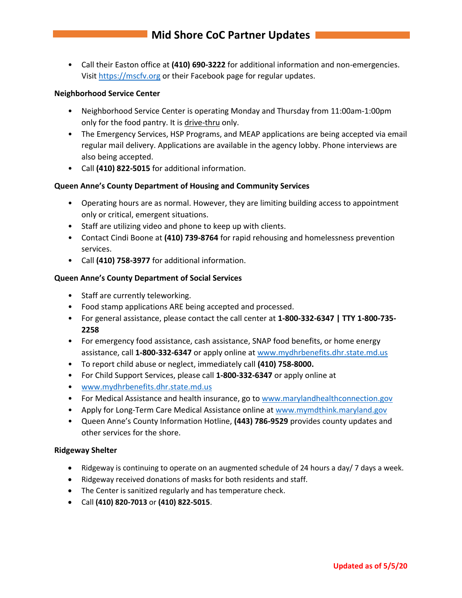• Call their Easton office at **(410) 690-3222** for additional information and non-emergencies. Visit [https://mscfv.org](https://mscfv.org/) or their Facebook page for regular updates.

#### **Neighborhood Service Center**

- Neighborhood Service Center is operating Monday and Thursday from 11:00am-1:00pm only for the food pantry. It is drive-thru only.
- The Emergency Services, HSP Programs, and MEAP applications are being accepted via email regular mail delivery. Applications are available in the agency lobby. Phone interviews are also being accepted.
- Call **(410) 822-5015** for additional information.

## **Queen Anne's County Department of Housing and Community Services**

- Operating hours are as normal. However, they are limiting building access to appointment only or critical, emergent situations.
- Staff are utilizing video and phone to keep up with clients.
- Contact Cindi Boone at **(410) 739-8764** for rapid rehousing and homelessness prevention services.
- Call **(410) 758-3977** for additional information.

## **Queen Anne's County Department of Social Services**

- Staff are currently teleworking.
- Food stamp applications ARE being accepted and processed.
- For general assistance, please contact the call center at **1-800-332-6347 | TTY 1-800-735- 2258**
- For emergency food assistance, cash assistance, SNAP food benefits, or home energy assistance, call **1-800-332-6347** or apply online at [www.mydhrbenefits.dhr.state.md.us](http://www.mydhrbenefits.dhr.state.md.us/)
- To report child abuse or neglect, immediately call **(410) 758-8000.**
- For Child Support Services, please call **1-800-332-6347** or apply online at
- [www.mydhrbenefits.dhr.state.md.us](http://www.mydhrbenefits.dhr.state.md.us/)
- For Medical Assistance and health insurance, go to [www.marylandhealthconnection.gov](http://www.marylandhealthconnection.gov/)
- Apply for Long-Term Care Medical Assistance online at [www.mymdthink.maryland.gov](http://www.mymdthink.maryland.gov/)
- Queen Anne's County Information Hotline, **(443) 786-9529** provides county updates and other services for the shore.

#### **Ridgeway Shelter**

- Ridgeway is continuing to operate on an augmented schedule of 24 hours a day/ 7 days a week.
- Ridgeway received donations of masks for both residents and staff.
- The Center is sanitized regularly and has temperature check.
- Call **(410) 820-7013** or **(410) 822-5015**.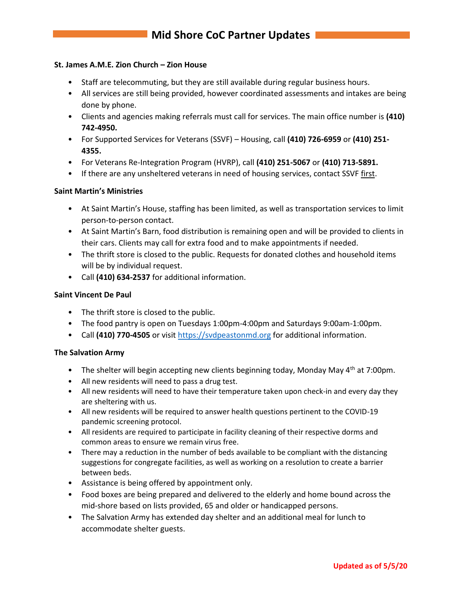## **St. James A.M.E. Zion Church – Zion House**

- Staff are telecommuting, but they are still available during regular business hours.
- All services are still being provided, however coordinated assessments and intakes are being done by phone.
- Clients and agencies making referrals must call for services. The main office number is **(410) 742-4950.**
- For Supported Services for Veterans (SSVF) Housing, call **(410) 726-6959** or **(410) 251- 4355.**
- For Veterans Re-Integration Program (HVRP), call **(410) 251-5067** or **(410) 713-5891.**
- If there are any unsheltered veterans in need of housing services, contact SSVF first.

#### **Saint Martin's Ministries**

- At Saint Martin's House, staffing has been limited, as well as transportation services to limit person-to-person contact.
- At Saint Martin's Barn, food distribution is remaining open and will be provided to clients in their cars. Clients may call for extra food and to make appointments if needed.
- The thrift store is closed to the public. Requests for donated clothes and household items will be by individual request.
- Call **(410) 634-2537** for additional information.

#### **Saint Vincent De Paul**

- The thrift store is closed to the public.
- The food pantry is open on Tuesdays 1:00pm-4:00pm and Saturdays 9:00am-1:00pm.
- Call **(410) 770-4505** or visit [https://svdpeastonmd.org](https://svdpeastonmd.org/) for additional information.

#### **The Salvation Army**

- The shelter will begin accepting new clients beginning today, Monday May 4<sup>th</sup> at 7:00pm.
- All new residents will need to pass a drug test.
- All new residents will need to have their temperature taken upon check-in and every day they are sheltering with us.
- All new residents will be required to answer health questions pertinent to the COVID-19 pandemic screening protocol.
- All residents are required to participate in facility cleaning of their respective dorms and common areas to ensure we remain virus free.
- There may a reduction in the number of beds available to be compliant with the distancing suggestions for congregate facilities, as well as working on a resolution to create a barrier between beds.
- Assistance is being offered by appointment only.
- Food boxes are being prepared and delivered to the elderly and home bound across the mid-shore based on lists provided, 65 and older or handicapped persons.
- The Salvation Army has extended day shelter and an additional meal for lunch to accommodate shelter guests.